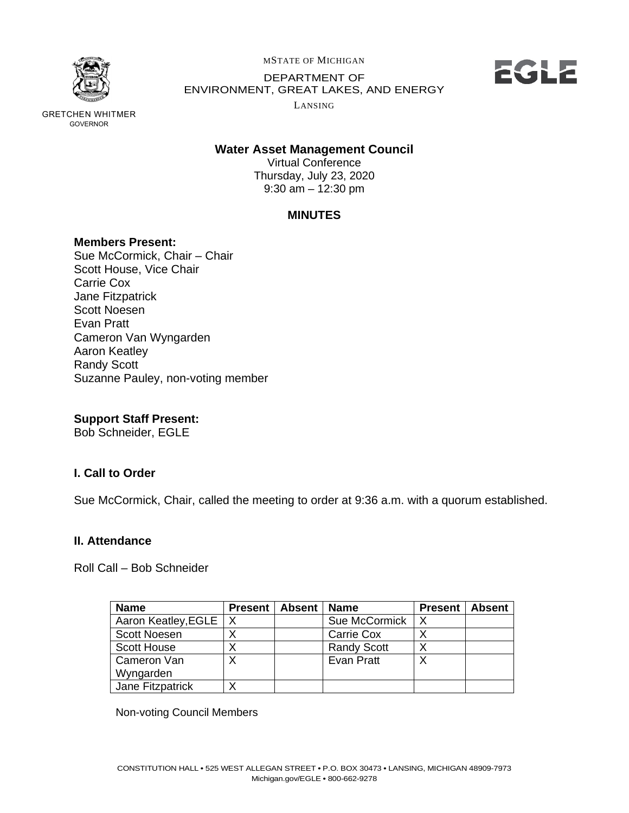

GOVERNOR

GRETCHEN WHITMER

MSTATE OF MICHIGAN

 DEPARTMENT OF ENVIRONMENT, GREAT LAKES, AND ENERGY



LANSING

# **Water Asset Management Council**

 Thursday, July 23, 2020 9:30 am – 12:30 pm Virtual Conference

# **MINUTES**

## **Members Present:**

 Sue McCormick, Chair – Chair Scott House, Vice Chair Carrie Cox Jane Fitzpatrick Scott Noesen Evan Pratt Cameron Van Wyngarden Aaron Keatley Randy Scott Suzanne Pauley, non-voting member

# **Support Staff Present:**

Bob Schneider, EGLE

# **I. Call to Order**

Sue McCormick, Chair, called the meeting to order at 9:36 a.m. with a quorum established.

# **II. Attendance**

Roll Call – Bob Schneider

| <b>Name</b>             | Present | <b>Absent</b> | <b>Name</b>        | <b>Present</b> | Absent |
|-------------------------|---------|---------------|--------------------|----------------|--------|
| Aaron Keatley, EGLE   X |         |               | Sue McCormick      |                |        |
| <b>Scott Noesen</b>     |         |               | Carrie Cox         |                |        |
| <b>Scott House</b>      | X       |               | <b>Randy Scott</b> |                |        |
| Cameron Van             | Х       |               | Evan Pratt         |                |        |
| Wyngarden               |         |               |                    |                |        |
| Jane Fitzpatrick        | X       |               |                    |                |        |

Non-voting Council Members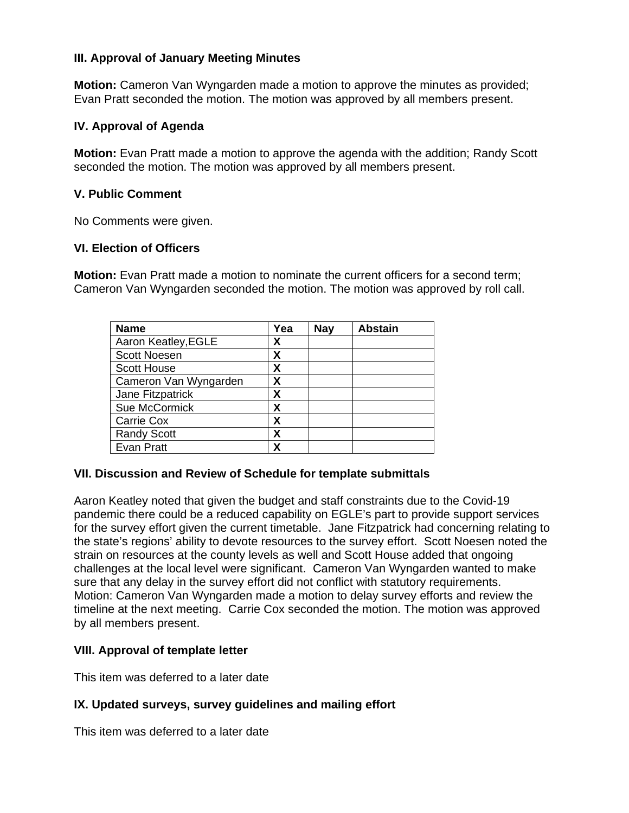## **III. Approval of January Meeting Minutes**

 **Motion:** Cameron Van Wyngarden made a motion to approve the minutes as provided; Evan Pratt seconded the motion. The motion was approved by all members present.

## **IV. Approval of Agenda**

 **Motion:** Evan Pratt made a motion to approve the agenda with the addition; Randy Scott seconded the motion. The motion was approved by all members present.

#### **V. Public Comment**

No Comments were given.

#### **VI. Election of Officers**

 **Motion:** Evan Pratt made a motion to nominate the current officers for a second term; Cameron Van Wyngarden seconded the motion. The motion was approved by roll call.

| <b>Name</b>           | Yea | <b>Nay</b> | <b>Abstain</b> |
|-----------------------|-----|------------|----------------|
| Aaron Keatley, EGLE   | χ   |            |                |
| <b>Scott Noesen</b>   | χ   |            |                |
| <b>Scott House</b>    | Χ   |            |                |
| Cameron Van Wyngarden | Χ   |            |                |
| Jane Fitzpatrick      | Χ   |            |                |
| Sue McCormick         | χ   |            |                |
| Carrie Cox            | χ   |            |                |
| <b>Randy Scott</b>    | Χ   |            |                |
| Evan Pratt            | χ   |            |                |

## **VII. Discussion and Review of Schedule for template submittals**

 Aaron Keatley noted that given the budget and staff constraints due to the Covid-19 pandemic there could be a reduced capability on EGLE's part to provide support services for the survey effort given the current timetable. Jane Fitzpatrick had concerning relating to the state's regions' ability to devote resources to the survey effort. Scott Noesen noted the strain on resources at the county levels as well and Scott House added that ongoing challenges at the local level were significant. Cameron Van Wyngarden wanted to make sure that any delay in the survey effort did not conflict with statutory requirements. Motion: Cameron Van Wyngarden made a motion to delay survey efforts and review the timeline at the next meeting. Carrie Cox seconded the motion. The motion was approved by all members present.

#### **VIII. Approval of template letter**

This item was deferred to a later date

## **IX. Updated surveys, survey guidelines and mailing effort**

This item was deferred to a later date